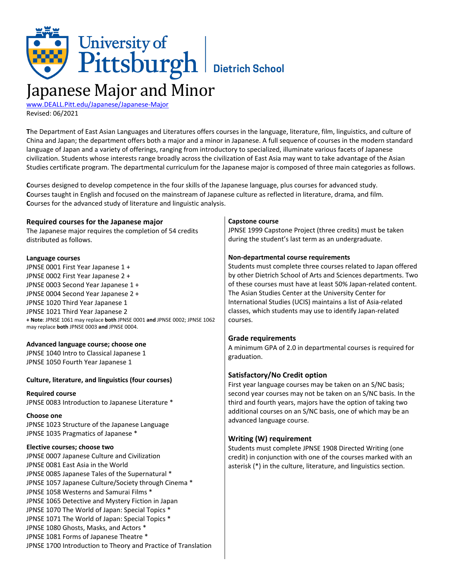# University of<br>Pittsburgh Bietrich School Japanese Major and Minor

# [www.DEALL.Pitt.edu/Japanese/Japanese-Major](http://www.deall.pitt.edu/japanese/japanese-major) Revised: 06/2021

**T**he Department of East Asian Languages and Literatures offers courses in the language, literature, film, linguistics, and culture of China and Japan; the department offers both a major and a minor in Japanese. A full sequence of courses in the modern standard language of Japan and a variety of offerings, ranging from introductory to specialized, illuminate various facets of Japanese civilization. Students whose interests range broadly across the civilization of East Asia may want to take advantage of the Asian Studies certificate program. The departmental curriculum for the Japanese major is composed of three main categories as follows.

 $\mathbf{r}$ 

**C**ourses designed to develop competence in the four skills of the Japanese language, plus courses for advanced study. **C**ourses taught in English and focused on the mainstream of Japanese culture as reflected in literature, drama, and film. **C**ourses for the advanced study of literature and linguistic analysis.

| Required courses for the Japanese major                                                                                  | Capstone course                                                                             |
|--------------------------------------------------------------------------------------------------------------------------|---------------------------------------------------------------------------------------------|
| The Japanese major requires the completion of 54 credits                                                                 | JPNSE 1999 Capstone Project (three credits) must be taken                                   |
| distributed as follows.                                                                                                  | during the student's last term as an undergraduate.                                         |
| Language courses                                                                                                         | Non-departmental course requirements                                                        |
| JPNSE 0001 First Year Japanese 1 +                                                                                       | Students must complete three courses related to Japan offered                               |
| JPNSE 0002 First Year Japanese 2 +                                                                                       | by other Dietrich School of Arts and Sciences departments. Two                              |
| JPNSE 0003 Second Year Japanese 1 +                                                                                      | of these courses must have at least 50% Japan-related content.                              |
| JPNSE 0004 Second Year Japanese 2 +                                                                                      | The Asian Studies Center at the University Center for                                       |
| JPNSE 1020 Third Year Japanese 1                                                                                         | International Studies (UCIS) maintains a list of Asia-related                               |
| JPNSE 1021 Third Year Japanese 2                                                                                         | classes, which students may use to identify Japan-related                                   |
| + Note: JPNSE 1061 may replace both JPNSE 0001 and JPNSE 0002; JPNSE 1062<br>may replace both JPNSE 0003 and JPNSE 0004. | courses.                                                                                    |
| Advanced language course; choose one                                                                                     | <b>Grade requirements</b>                                                                   |
| JPNSE 1040 Intro to Classical Japanese 1                                                                                 | A minimum GPA of 2.0 in departmental courses is required for                                |
| JPNSE 1050 Fourth Year Japanese 1                                                                                        | graduation.                                                                                 |
|                                                                                                                          |                                                                                             |
| Culture, literature, and linguistics (four courses)                                                                      | Satisfactory/No Credit option<br>First year language courses may be taken on an S/NC basis; |
| <b>Required course</b>                                                                                                   | second year courses may not be taken on an S/NC basis. In the                               |
| JPNSE 0083 Introduction to Japanese Literature *                                                                         | third and fourth years, majors have the option of taking two                                |
| <b>Choose one</b>                                                                                                        | additional courses on an S/NC basis, one of which may be an                                 |
| JPNSE 1023 Structure of the Japanese Language                                                                            | advanced language course.                                                                   |
| JPNSE 1035 Pragmatics of Japanese *                                                                                      |                                                                                             |
|                                                                                                                          | <b>Writing (W) requirement</b>                                                              |
| Elective courses; choose two<br>JPNSE 0007 Japanese Culture and Civilization                                             | Students must complete JPNSE 1908 Directed Writing (one                                     |
| JPNSE 0081 East Asia in the World                                                                                        | credit) in conjunction with one of the courses marked with an                               |
| JPNSE 0085 Japanese Tales of the Supernatural *                                                                          | asterisk (*) in the culture, literature, and linguistics section.                           |
| JPNSE 1057 Japanese Culture/Society through Cinema *                                                                     |                                                                                             |
| JPNSE 1058 Westerns and Samurai Films *                                                                                  |                                                                                             |
| JPNSE 1065 Detective and Mystery Fiction in Japan                                                                        |                                                                                             |
| JPNSE 1070 The World of Japan: Special Topics *                                                                          |                                                                                             |
| JPNSE 1071 The World of Japan: Special Topics *                                                                          |                                                                                             |
| JPNSE 1080 Ghosts, Masks, and Actors *                                                                                   |                                                                                             |
| JPNSE 1081 Forms of Japanese Theatre *                                                                                   |                                                                                             |
| JPNSE 1700 Introduction to Theory and Practice of Translation                                                            |                                                                                             |

 $\overline{\phantom{a}}$